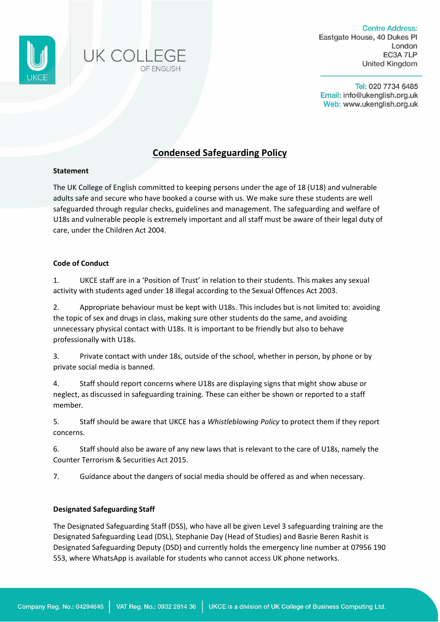



**Centre Address:** Eastgate House, 40 Dukes Pl London **FC3A 7LP United Kingdom** 

Tel: 020 7734 6485 Email: info@ukenglish.org.uk Web: www.ukenglish.org.uk

# **Condensed Safeguarding Policy**

## **Statement**

The UK College of English committed to keeping persons under the age of 18 (U18) and vulnerable adults safe and secure who have booked a course with us. We make sure these students are well safeguarded through regular checks, guidelines and management. The safeguarding and welfare of U18s and vulnerable people is extremely important and all staff must be aware of their legal duty of care, under the Children Act 2004.

## **Code of Conduct**

1. UKCE staff are in a 'Position of Trust' in relation to their students. This makes any sexual activity with students aged under 18 illegal according to the Sexual Offences Act 2003.

2. Appropriate behaviour must be kept with U18s. This includes but is not limited to: avoiding the topic of sex and drugs in class, making sure other students do the same, and avoiding unnecessary physical contact with U18s. It is important to be friendly but also to behave professionally with U18s.

3. Private contact with under 18s, outside of the school, whether in person, by phone or by private social media is banned.

4. Staff should report concerns where U18s are displaying signs that might show abuse or neglect, as discussed in safeguarding training. These can either be shown or reported to a staff member.

5. Staff should be aware that UKCE has a *Whistleblowing Policy* to protect them if they report concerns.

6. Staff should also be aware of any new laws that is relevant to the care of U18s, namely the Counter Terrorism & Securities Act 2015.

7. Guidance about the dangers of social media should be offered as and when necessary.

## **Designated Safeguarding Staff**

The Designated Safeguarding Staff (DSS), who have all be given Level 3 safeguarding training are the Designated Safeguarding Lead (DSL), Stephanie Day (Head of Studies) and Basrie Beren Rashit is Designated Safeguarding Deputy (DSD) and currently holds the emergency line number at 07956 190 553, where WhatsApp is available for students who cannot access UK phone networks.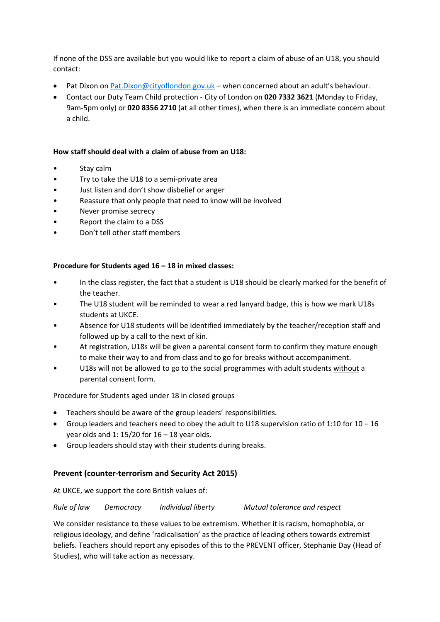If none of the DSS are available but you would like to report a claim of abuse of an U18, you should contact:

- Pat Dixon on [Pat.Dixon@cityoflondon.gov.uk](mailto:Pat.Dixon@cityoflondon.gov.uk) when concerned about an adult's behaviour.
- Contact our Duty Team Child protection City of London on **020 7332 3621** (Monday to Friday, 9am-5pm only) or **020 8356 2710** (at all other times), when there is an immediate concern about a child.

## **How staff should deal with a claim of abuse from an U18:**

- Stay calm
- Try to take the U18 to a semi-private area
- Just listen and don't show disbelief or anger
- Reassure that only people that need to know will be involved
- Never promise secrecy
- Report the claim to a DSS
- Don't tell other staff members

## **Procedure for Students aged 16 – 18 in mixed classes:**

- In the class register, the fact that a student is U18 should be clearly marked for the benefit of the teacher.
- The U18 student will be reminded to wear a red lanyard badge, this is how we mark U18s students at UKCE.
- Absence for U18 students will be identified immediately by the teacher/reception staff and followed up by a call to the next of kin.
- At registration, U18s will be given a parental consent form to confirm they mature enough to make their way to and from class and to go for breaks without accompaniment.
- U18s will not be allowed to go to the social programmes with adult students without a parental consent form.

Procedure for Students aged under 18 in closed groups

- Teachers should be aware of the group leaders' responsibilities.
- Group leaders and teachers need to obey the adult to U18 supervision ratio of 1:10 for 10 16 year olds and 1:  $15/20$  for  $16 - 18$  year olds.
- Group leaders should stay with their students during breaks.

## **Prevent (counter-terrorism and Security Act 2015)**

At UKCE, we support the core British values of:

*Rule of law Democracy Individual liberty Mutual tolerance and respect*

We consider resistance to these values to be extremism. Whether it is racism, homophobia, or religious ideology, and define 'radicalisation' as the practice of leading others towards extremist beliefs. Teachers should report any episodes of this to the PREVENT officer, Stephanie Day (Head of Studies), who will take action as necessary.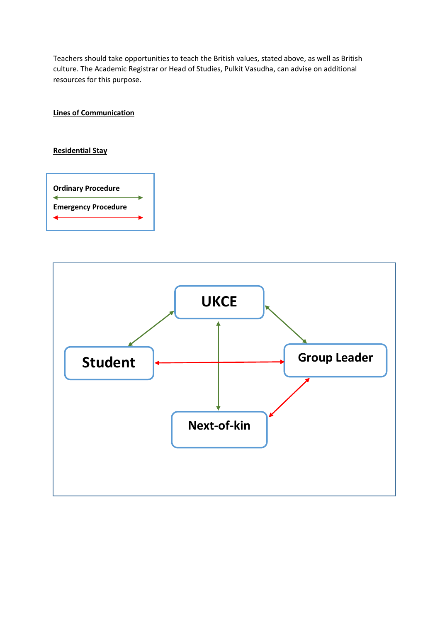Teachers should take opportunities to teach the British values, stated above, as well as British culture. The Academic Registrar or Head of Studies, Pulkit Vasudha, can advise on additional resources for this purpose.

**Lines of Communication**

## **Residential Stay**